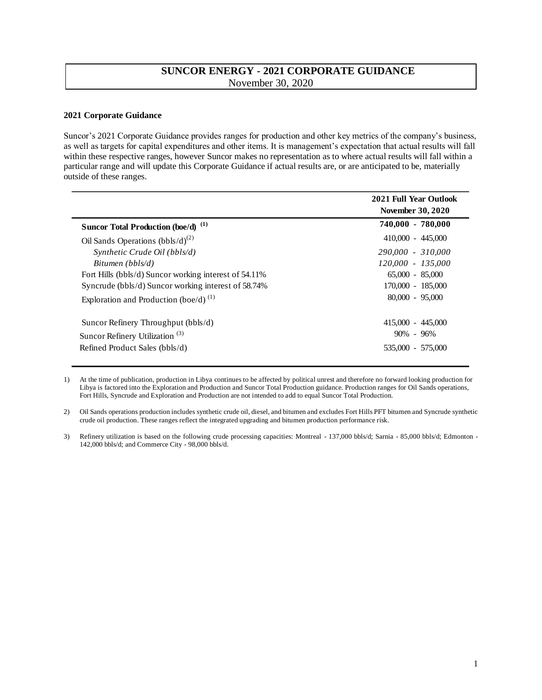## **SUNCOR ENERGY - 2021 CORPORATE GUIDANCE**  November 30, 2020

## **2021 Corporate Guidance**

Suncor's 2021 Corporate Guidance provides ranges for production and other key metrics of the company's business, as well as targets for capital expenditures and other items. It is management's expectation that actual results will fall within these respective ranges, however Suncor makes no representation as to where actual results will fall within a particular range and will update this Corporate Guidance if actual results are, or are anticipated to be, materially outside of these ranges.

|                                                       | 2021 Full Year Outlook<br><b>November 30, 2020</b> |
|-------------------------------------------------------|----------------------------------------------------|
| Suncor Total Production (boe/d) <sup>(1)</sup>        | 740,000 - 780,000                                  |
| Oil Sands Operations $(bbls/d)^{(2)}$                 | $410,000 - 445,000$                                |
| Synthetic Crude Oil (bbls/d)                          | 290,000 - 310,000                                  |
| Bitumen (bbls/d)                                      | 120.000 - 135.000                                  |
| Fort Hills (bbls/d) Suncor working interest of 54.11% | $65,000 - 85,000$                                  |
| Syncrude (bbls/d) Suncor working interest of 58.74%   | 170,000 - 185,000                                  |
| Exploration and Production (boe/d) <sup>(1)</sup>     | $80,000 - 95,000$                                  |
| Suncor Refinery Throughput (bbls/d)                   | $415,000 - 445,000$                                |
| Suncor Refinery Utilization <sup>(3)</sup>            | $90\% - 96\%$                                      |
| Refined Product Sales (bbls/d)                        | 535,000 - 575,000                                  |
|                                                       |                                                    |

1) At the time of publication, production in Libya continues to be affected by political unrest and therefore no forward looking production for Libya is factored into the Exploration and Production and Suncor Total Production guidance. Production ranges for Oil Sands operations, Fort Hills, Syncrude and Exploration and Production are not intended to add to equal Suncor Total Production.

2) Oil Sands operations production includes synthetic crude oil, diesel, and bitumen and excludes Fort Hills PFT bitumen and Syncrude synthetic crude oil production. These ranges reflect the integrated upgrading and bitumen production performance risk.

3) Refinery utilization is based on the following crude processing capacities: Montreal - 137,000 bbls/d; Sarnia - 85,000 bbls/d; Edmonton - 142,000 bbls/d; and Commerce City - 98,000 bbls/d.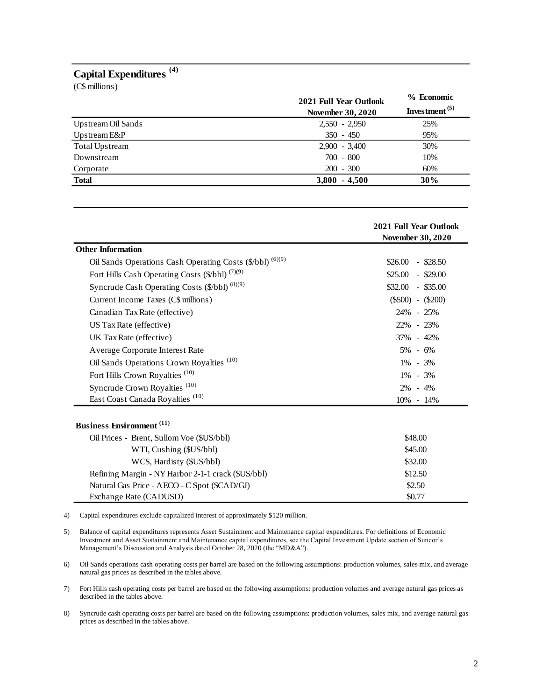## **Capital Expenditures (4)**

(C\$ millions)

|                       | 2021 Full Year Outlook<br><b>November 30, 2020</b> | % Economic<br>Investment $(5)$ |
|-----------------------|----------------------------------------------------|--------------------------------|
| Upstream Oil Sands    | $2,550 - 2,950$                                    | 25%                            |
| Upstream E&P          | $350 - 450$                                        | 95%                            |
| <b>Total Upstream</b> | $2,900 - 3,400$                                    | 30%                            |
| Downstream            | $700 - 800$                                        | 10%                            |
| Corporate             | $200 - 300$                                        | 60%                            |
| <b>Total</b>          | $3,800 - 4,500$                                    | 30%                            |

|                                                            | <b>2021 Full Year Outlook</b><br><b>November 30, 2020</b> |  |
|------------------------------------------------------------|-----------------------------------------------------------|--|
| <b>Other Information</b>                                   |                                                           |  |
| Oil Sands Operations Cash Operating Costs (\$/bbl) (6)(9)  | \$26.00<br>$-$ \$28.50                                    |  |
| Fort Hills Cash Operating Costs (\$/bbl) <sup>(7)(9)</sup> | $$25.00$ - \$29.00                                        |  |
| Syncrude Cash Operating Costs (\$/bbl) (8)(9)              | $$32.00 - $35.00$                                         |  |
| Current Income Taxes (C\$ millions)                        | $(\$500) - (\$200)$                                       |  |
| Canadian Tax Rate (effective)                              | 24% - 25%                                                 |  |
| US Tax Rate (effective)                                    | 22% - 23%                                                 |  |
| UK Tax Rate (effective)                                    | 37% - 42%                                                 |  |
| Average Corporate Interest Rate                            | $5\% - 6\%$                                               |  |
| Oil Sands Operations Crown Royalties <sup>(10)</sup>       | $1\% - 3\%$                                               |  |
| Fort Hills Crown Royalties <sup>(10)</sup>                 | $1\% - 3\%$                                               |  |
| Syncrude Crown Royalties <sup>(10)</sup>                   | 2% - 4%                                                   |  |
| East Coast Canada Royalties <sup>(10)</sup>                | 10% - 14%                                                 |  |
|                                                            |                                                           |  |
| <b>Business Environment</b> (11)                           |                                                           |  |
| Oil Prices - Brent, Sullom Voe (\$US/bbl)                  | \$48.00                                                   |  |
| WTI, Cushing (\$US/bbl)                                    | \$45.00                                                   |  |
| WCS, Hardisty (\$US/bbl)                                   | \$32.00                                                   |  |
| Refining Margin - NY Harbor 2-1-1 crack (\$US/bbl)         | \$12.50                                                   |  |
| Natural Gas Price - AECO - C Spot (\$CAD/GJ)               | \$2.50                                                    |  |
| Exchange Rate (CADUSD)                                     | \$0.77                                                    |  |

4) Capital expenditures exclude capitalized interest of approximately \$120 million.

5) Balance of capital expenditures represents Asset Sustainment and Maintenance capital expenditures. For definitions of Economic Investment and Asset Sustainment and Maintenance capital expenditures, see the Capital Investment Update section of Suncor's Management's Discussion and Analysis dated October 28, 2020 (the "MD&A").

6) Oil Sands operations cash operating costs per barrel are based on the following assumptions: production volumes, sales mix, and average natural gas prices as described in the tables above.

7) Fort Hills cash operating costs per barrel are based on the following assumptions: production volumes and average natural gas prices as described in the tables above.

8) Syncrude cash operating costs per barrel are based on the following assumptions: production volumes, sales mix, and average natural gas prices as described in the tables above.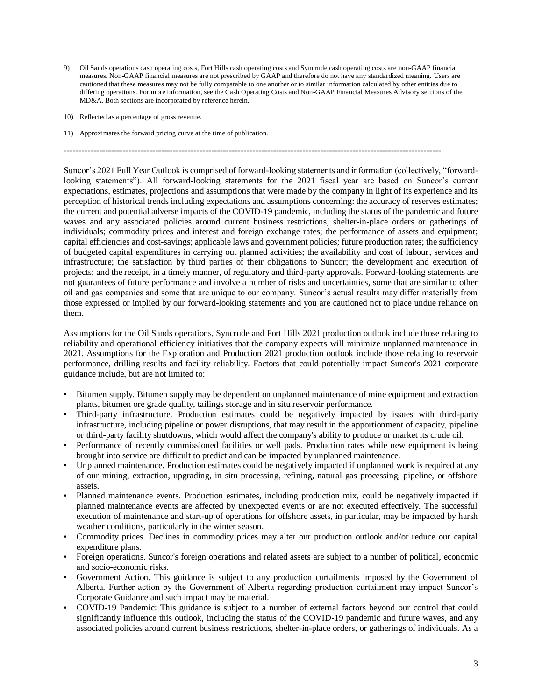- 9) Oil Sands operations cash operating costs, Fort Hills cash operating costs and Syncrude cash operating costs are non-GAAP financial measures. Non-GAAP financial measures are not prescribed by GAAP and therefore do not have any standardized meaning. Users are cautioned that these measures may not be fully comparable to one another or to similar information calculated by other entities due to differing operations. For more information, see the Cash Operating Costs and Non-GAAP Financial Measures Advisory sections of the MD&A. Both sections are incorporated by reference herein.
- 10) Reflected as a percentage of gross revenue.
- 11) Approximates the forward pricing curve at the time of publication.

--------------------------------------------------------------------------------------------------------------------------------

Suncor's 2021 Full Year Outlook is comprised of forward-looking statements and information (collectively, "forwardlooking statements"). All forward-looking statements for the 2021 fiscal year are based on Suncor's current expectations, estimates, projections and assumptions that were made by the company in light of its experience and its perception of historical trends including expectations and assumptions concerning: the accuracy of reserves estimates; the current and potential adverse impacts of the COVID-19 pandemic, including the status of the pandemic and future waves and any associated policies around current business restrictions, shelter-in-place orders or gatherings of individuals; commodity prices and interest and foreign exchange rates; the performance of assets and equipment; capital efficiencies and cost-savings; applicable laws and government policies; future production rates; the sufficiency of budgeted capital expenditures in carrying out planned activities; the availability and cost of labour, services and infrastructure; the satisfaction by third parties of their obligations to Suncor; the development and execution of projects; and the receipt, in a timely manner, of regulatory and third-party approvals. Forward-looking statements are not guarantees of future performance and involve a number of risks and uncertainties, some that are similar to other oil and gas companies and some that are unique to our company. Suncor's actual results may differ materially from those expressed or implied by our forward-looking statements and you are cautioned not to place undue reliance on them.

Assumptions for the Oil Sands operations, Syncrude and Fort Hills 2021 production outlook include those relating to reliability and operational efficiency initiatives that the company expects will minimize unplanned maintenance in 2021. Assumptions for the Exploration and Production 2021 production outlook include those relating to reservoir performance, drilling results and facility reliability. Factors that could potentially impact Suncor's 2021 corporate guidance include, but are not limited to:

- Bitumen supply. Bitumen supply may be dependent on unplanned maintenance of mine equipment and extraction plants, bitumen ore grade quality, tailings storage and in situ reservoir performance.
- Third-party infrastructure. Production estimates could be negatively impacted by issues with third-party infrastructure, including pipeline or power disruptions, that may result in the apportionment of capacity, pipeline or third-party facility shutdowns, which would affect the company's ability to produce or market its crude oil.
- Performance of recently commissioned facilities or well pads. Production rates while new equipment is being brought into service are difficult to predict and can be impacted by unplanned maintenance.
- Unplanned maintenance. Production estimates could be negatively impacted if unplanned work is required at any of our mining, extraction, upgrading, in situ processing, refining, natural gas processing, pipeline, or offshore assets.
- Planned maintenance events. Production estimates, including production mix, could be negatively impacted if planned maintenance events are affected by unexpected events or are not executed effectively. The successful execution of maintenance and start-up of operations for offshore assets, in particular, may be impacted by harsh weather conditions, particularly in the winter season.
- Commodity prices. Declines in commodity prices may alter our production outlook and/or reduce our capital expenditure plans.
- Foreign operations. Suncor's foreign operations and related assets are subject to a number of political, economic and socio-economic risks.
- Government Action. This guidance is subject to any production curtailments imposed by the Government of Alberta. Further action by the Government of Alberta regarding production curtailment may impact Suncor's Corporate Guidance and such impact may be material.
- COVID-19 Pandemic: This guidance is subject to a number of external factors beyond our control that could significantly influence this outlook, including the status of the COVID-19 pandemic and future waves, and any associated policies around current business restrictions, shelter-in-place orders, or gatherings of individuals. As a